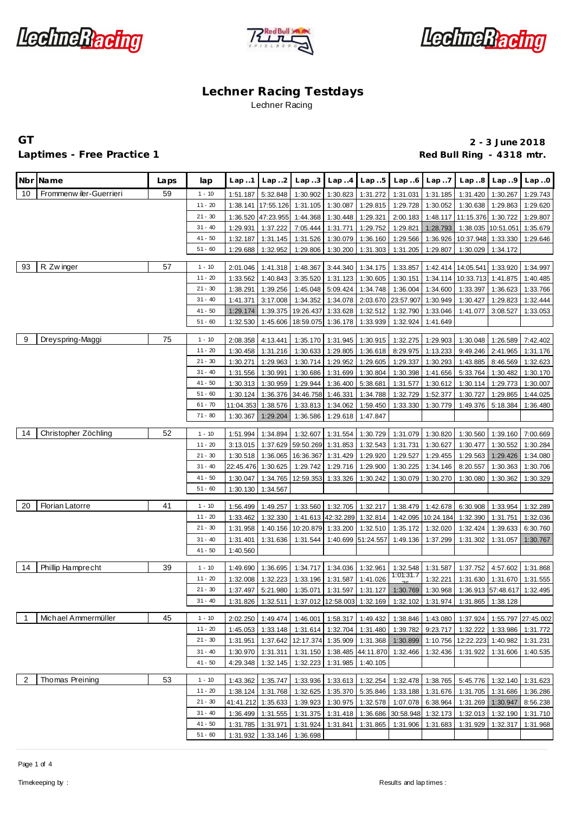





## Laptimes - Free Practice 1 **Red Bull Ring - 4318 mtr.** And Decision and Red Bull Ring - 4318 mtr.

**GT 2 - 3 June 2018**

|                | Nbr Name                | Laps | lap       | Lap1      | Lap.2     | Lap.3              | Lap.4    | Lap.5                       | Lap.6              | Lap.7              | Lap.8                                                                    | Lap.9              | Lap.0              |
|----------------|-------------------------|------|-----------|-----------|-----------|--------------------|----------|-----------------------------|--------------------|--------------------|--------------------------------------------------------------------------|--------------------|--------------------|
| 10             | Frommenw iler-Guerrieri | 59   | $1 - 10$  | 1:51.187  | 5:32.848  | 1:30.902           | 1:30.823 | 1:31.272                    | 1:31.031           | 1:31.185           | 1:31.420                                                                 | 1:30.267           | 1:29.743           |
|                |                         |      | $11 - 20$ | 1:38.141  | 17:55.126 | 1:31.105           | 1:30.087 | 1:29.815                    | 1:29.728           | 1:30.052           | 1:30.638                                                                 | 1:29.863           | 1:29.620           |
|                |                         |      | $21 - 30$ | 1:36.520  | 47:23.955 | 1:44.368           | 1:30.448 | 1:29.321                    | 2:00.183           | 1:48.117           | 11:15.376                                                                | 1:30.722           | 1:29.807           |
|                |                         |      | $31 - 40$ | 1:29.931  | 1:37.222  | 7:05.444           | 1:31.771 | 1:29.752                    | 1:29.821           | 1:28.793           |                                                                          | 1:38.035 10:51.051 | 1:35.679           |
|                |                         |      | $41 - 50$ | 1:32.187  | 1:31.145  | 1:31.526           | 1:30.079 | 1:36.160                    | 1:29.566           | 1:36.926           | 10:37.948                                                                | 1:33.330           | 1:29.646           |
|                |                         |      | $51 - 60$ | 1:29.688  | 1:32.952  | 1:29.806           | 1:30.200 | 1:31.303                    | 1:31.205           | 1:29.807           | 1:30.029                                                                 | 1:34.172           |                    |
| 93             | R. Zw inger             | 57   | $1 - 10$  | 2:01.046  | 1:41.318  | 1:48.367           | 3:44.340 | 1:34.175                    | 1:33.857           | 1:42.414           | 14:05.541                                                                | 1:33.920           | 1:34.997           |
|                |                         |      | $11 - 20$ | 1:33.562  | 1:40.843  | 3:35.520           | 1:31.123 | 1:30.605                    | 1:30.151           | 1:34.114           | 10:33.713                                                                | 1:41.875           | 1:40.485           |
|                |                         |      | $21 - 30$ | 1:38.291  | 1:39.256  | 1:45.048           | 5:09.424 | 1:34.748                    | 1:36.004           | 1:34.600           | 1:33.397                                                                 | 1:36.623           | 1:33.766           |
|                |                         |      | $31 - 40$ | 1:41.371  | 3:17.008  | 1:34.352           | 1:34.078 | 2:03.670                    | 23:57.907          | 1:30.949           | 1:30.427                                                                 | 1:29.823           | 1:32.444           |
|                |                         |      | $41 - 50$ | 1:29.174  | 1:39.375  | 19:26.437          | 1:33.628 | 1:32.512                    | 1:32.790           | 1:33.046           | 1:41.077                                                                 | 3:08.527           | 1:33.053           |
|                |                         |      | $51 - 60$ | 1:32.530  | 1:45.606  | 18:59.075          | 1:36.178 | 1:33.939                    | 1:32.924           | 1:41.649           |                                                                          |                    |                    |
| 9              | Dreyspring-Maggi        | 75   | $1 - 10$  | 2:08.358  | 4:13.441  | 1:35.170           | 1:31.945 | 1:30.915                    | 1:32.275           | 1:29.903           | 1:30.048                                                                 | 1:26.589           | 7:42.402           |
|                |                         |      | $11 - 20$ | 1:30.458  | 1:31.216  | 1:30.633           | 1:29.805 | 1:36.618                    | 8:29.975           | 1:13.233           | 9:49.246                                                                 | 2:41.965           | 1:31.176           |
|                |                         |      | $21 - 30$ | 1:30.271  | 1:29.963  | 1:30.714           | 1:29.952 | 1:29.605                    | 1:29.337           | 1:30.293           | 1:43.885                                                                 | 8:46.569           | 1:32.623           |
|                |                         |      | $31 - 40$ | 1:31.556  | 1:30.991  | 1:30.686           | 1:31.699 | 1:30.804                    | 1:30.398           | 1:41.656           | 5:33.764                                                                 | 1:30.482           | 1:30.170           |
|                |                         |      | $41 - 50$ | 1:30.313  | 1:30.959  | 1:29.944           | 1:36.400 | 5:38.681                    | 1:31.577           | 1:30.612           | 1:30.114                                                                 | 1:29.773           | 1:30.007           |
|                |                         |      | $51 - 60$ | 1:30.124  | 1:36.376  | 34:46.758          | 1:46.331 | 1:34.788                    | 1:32.729           | 1:52.377           | 1:30.727                                                                 | 1:29.865           | 1:44.025           |
|                |                         |      | $61 - 70$ | 11:04.353 | 1:38.576  | 1:33.813           | 1:34.062 | 1:59.450                    | 1:33.330           | 1:30.779           | 1:49.376                                                                 | 5:18.384           | 1:36.480           |
|                |                         |      | $71 - 80$ | 1:30.367  | 1:29.204  | 1:36.586           | 1:29.618 | 1:47.847                    |                    |                    |                                                                          |                    |                    |
| 14             | Christopher Zöchling    | 52   | $1 - 10$  | 1:51.994  | 1:34.894  | 1:32.607           | 1:31.554 | 1:30.729                    | 1:31.079           | 1:30.820           | 1:30.560                                                                 | 1:39.160           | 7:00.669           |
|                |                         |      | $11 - 20$ | 3:13.015  | 1:37.629  | 59:50.269 1:31.853 |          | 1:32.543                    | 1:31.731           | 1:30.627           | 1:30.477                                                                 | 1:30.552           | 1:30.284           |
|                |                         |      | $21 - 30$ | 1:30.518  | 1:36.065  | 16:36.367          | 1:31.429 | 1:29.920                    | 1:29.527           | 1:29.455           | 1:29.563                                                                 | 1:29.426           | 1:34.080           |
|                |                         |      | $31 - 40$ | 22:45.476 | 1:30.625  | 1:29.742           | 1:29.716 | 1:29.900                    | 1:30.225           | 1:34.146           | 8:20.557                                                                 | 1:30.363           | 1:30.706           |
|                |                         |      | $41 - 50$ | 1:30.047  | 1:34.765  | 12:59.353          | 1:33.326 | 1:30.242                    | 1:30.079           | 1:30.270           | 1:30.080                                                                 | 1:30.362           | 1:30.329           |
|                |                         |      | $51 - 60$ | 1:30.130  | 1:34.567  |                    |          |                             |                    |                    |                                                                          |                    |                    |
| 20             | <b>Florian Latorre</b>  | 41   | $1 - 10$  | 1:56.499  | 1:49.257  | 1:33.560           | 1:32.705 | 1:32.217                    | 1:38.479           | 1:42.678           | 6:30.908                                                                 | 1:33.954           | 1:32.289           |
|                |                         |      | $11 - 20$ | 1:33.462  | 1:32.330  |                    |          | 1:41.613 42:32.289 1:32.814 |                    | 1:42.095 10:24.184 | 1:32.390                                                                 | 1:31.751           | 1:32.036           |
|                |                         |      | $21 - 30$ | 1:31.958  | 1:40.156  | 10:20.879          | 1:33.200 | 1:32.510                    | 1:35.172           | 1:32.020           | 1:32.424                                                                 | 1:39.633           | 6:30.760           |
|                |                         |      | $31 - 40$ | 1:31.401  | 1:31.636  | 1:31.544           |          | 1:40.699 51:24.557          | 1:49.136           | 1:37.299           | 1:31.302                                                                 | 1:31.057           | 1:30.767           |
|                |                         |      | $41 - 50$ | 1:40.560  |           |                    |          |                             |                    |                    |                                                                          |                    |                    |
| 14             | Phillip Hamprecht       | 39   | $1 - 10$  | 1:49.690  | 1:36.695  | 1:34.717           | 1:34.036 | 1:32.961                    | 1:32.548           | 1:31.587           | 1:37.752                                                                 | 4:57.602           | 1:31.868           |
|                |                         |      | $11 - 20$ | 1:32.008  | 1:32.223  | 1:33.196           | 1:31.587 | 1:41.026                    | 1:01:31.7          | 1:32.221           | 1:31.630                                                                 | 1:31.670           | 1:31.555           |
|                |                         |      | $21 - 30$ | 1:37.497  | 5:21.980  | 1:35.071           | 1:31.597 | 1:31.127                    | 1:30.769           | 1:30.968           |                                                                          | 1:36.913 57:48.617 | 1:32.495           |
|                |                         |      | $31 - 40$ | 1:31.826  |           |                    |          |                             |                    |                    | 1:32.511 1:37.012 12:58.003 1:32.169 1:32.102 1:31.974 1:31.865 1:38.128 |                    |                    |
| $\overline{1}$ | Michael Ammermüller     | 45   | $1 - 10$  | 2:02.250  | 1:49.474  | 1:46.001           | 1:58.317 | 1:49.432                    | 1:38.846           | 1:43.080           | 1:37.924                                                                 |                    | 1:55.797 27:45.002 |
|                |                         |      | $11 - 20$ | 1:45.053  | 1:33.148  | 1:31.614           | 1:32.704 | 1:31.480                    | 1:39.782           | 9:23.717           | 1:32.222                                                                 | 1:33.986           | 1:31.772           |
|                |                         |      | $21 - 30$ | 1:31.951  | 1:37.642  | 12:17.374 1:35.909 |          | 1:31.368                    | 1:30.899           |                    | 1:10.756 12:22.223                                                       | 1:40.982           | 1:31.231           |
|                |                         |      | $31 - 40$ | 1:30.970  | 1:31.311  | 1:31.150           |          | 1:38.485 44:11.870          | 1:32.466           | 1:32.436           | 1:31.922                                                                 | 1:31.606           | 1:40.535           |
|                |                         |      | $41 - 50$ | 4:29.348  | 1:32.145  | 1:32.223           | 1:31.985 | 1:40.105                    |                    |                    |                                                                          |                    |                    |
| $\overline{2}$ | Thomas Preining         | 53   | $1 - 10$  | 1:43.362  | 1:35.747  | 1:33.936           |          | 1:33.613 1:32.254           | 1:32.478           | 1:38.765           |                                                                          | 5:45.776 1:32.140  | 1:31.623           |
|                |                         |      | $11 - 20$ | 1:38.124  | 1:31.768  | 1:32.625           | 1:35.370 | 5:35.846                    | 1:33.188           | 1:31.676           | 1:31.705                                                                 | 1:31.686           | 1:36.286           |
|                |                         |      | $21 - 30$ | 41:41.212 | 1:35.633  | 1:39.923           | 1:30.975 | 1:32.578                    | 1:07.078           | 6:38.964           | 1:31.269                                                                 | 1:30.947           | 8:56.238           |
|                |                         |      | $31 - 40$ | 1:36.499  | 1:31.555  | 1:31.375           | 1:31.418 |                             | 1:36.686 30:58.948 | 1:32.173           | 1:32.013                                                                 | 1:32.190           | 1:31.710           |
|                |                         |      | $41 - 50$ | 1:31.785  | 1:31.971  | 1:31.924           | 1:31.841 | 1:31.865                    | 1:31.906           | 1:31.683           | 1:31.929                                                                 | 1:32.317           | 1:31.968           |
|                |                         |      | $51 - 60$ | 1:31.932  | 1:33.146  | 1:36.698           |          |                             |                    |                    |                                                                          |                    |                    |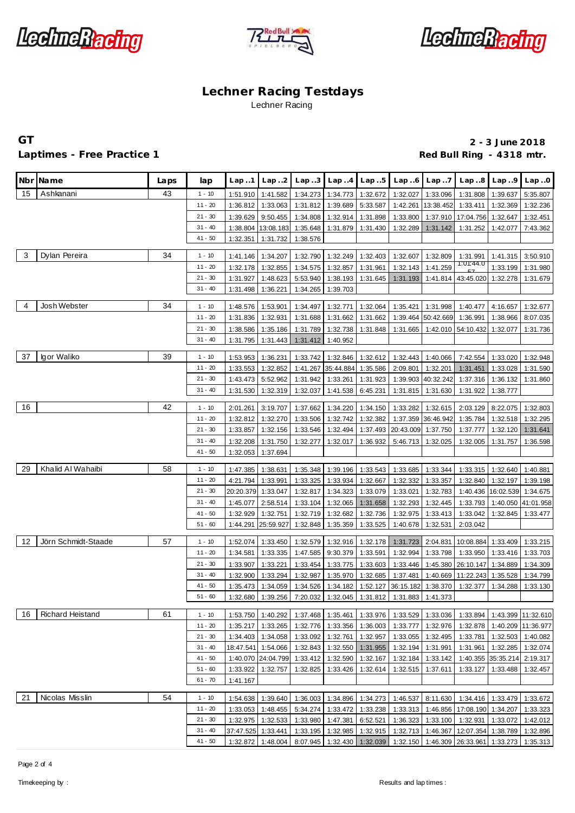





## Laptimes - Free Practice 1 **Red Bull Ring - 4318 mtr.** And Decision and Red Bull Ring - 4318 mtr.

# **GT 2 - 3 June 2018**

|    | Nbr Name            | Laps | lap                    | Lap 1                | Lap. .2              | Lap. .3              | Lap.4                | Lap.5                | Lap.6                | Lap.7                | Lap.8                                                | Lap.9                         | Lap.0                |
|----|---------------------|------|------------------------|----------------------|----------------------|----------------------|----------------------|----------------------|----------------------|----------------------|------------------------------------------------------|-------------------------------|----------------------|
|    |                     |      |                        |                      |                      |                      |                      |                      |                      |                      |                                                      |                               |                      |
| 15 | Ashkanani           | 43   | $1 - 10$               | 1:51.910             | 1:41.582             | 1:34.273             | 1:34.773             | 1:32.672             | 1:32.027             | 1:33.096             | 1:31.808                                             | 1:39.637                      | 5:35.807             |
|    |                     |      | $11 - 20$              | 1:36.812             | 1:33.063             | 1:31.812             | 1:39.689             | 5:33.587             | 1:42.261             | 13:38.452            | 1:33.411                                             | 1:32.369                      | 1:32.236             |
|    |                     |      | $21 - 30$              | 1:39.629             | 9:50.455             | 1:34.808             | 1:32.914             | 1:31.898             | 1:33.800             |                      | 1:37.910 17:04.756                                   | 1:32.647                      | 1:32.451             |
|    |                     |      | $31 - 40$<br>$41 - 50$ | 1:38.804             | 13:08.183            | 1:35.648             | 1:31.879             | 1:31.430             | 1:32.289             | 1:31.142             | 1:31.252                                             | 1:42.077                      | 7:43.362             |
|    |                     |      |                        | 1:32.351             | 1:31.732             | 1:38.576             |                      |                      |                      |                      |                                                      |                               |                      |
| 3  | Dylan Pereira       | 34   | $1 - 10$               | 1:41.146             | 1:34.207             | 1:32.790             | 1:32.249             | 1:32.403             | 1:32.607             | 1:32.809             | 1:31.991                                             | 1:41.315                      | 3:50.910             |
|    |                     |      | $11 - 20$              | 1:32.178             | 1:32.855             | 1:34.575             | 1:32.857             | 1:31.961             | 1:32.143             | 1:41.259             | 1:01:44.0                                            | 1:33.199                      | 1:31.980             |
|    |                     |      | $21 - 30$              | 1:31.927             | 1:48.623             | 5:53.940             | 1:38.193             | 1:31.645             | 1:31.193             |                      | 1:41.814 43:45.020 1:32.278                          |                               | 1:31.679             |
|    |                     |      | $31 - 40$              | 1:31.498             | 1:36.221             | 1:34.265             | 1:39.703             |                      |                      |                      |                                                      |                               |                      |
| 4  | Josh Webster        | 34   | $1 - 10$               | 1:48.576             | 1:53.901             | 1:34.497             | 1:32.771             | 1:32.064             | 1:35.421             | 1:31.998             | 1:40.477                                             | 4:16.657                      | 1:32.677             |
|    |                     |      | $11 - 20$              | 1:31.836             | 1:32.931             | 1:31.688             | 1:31.662             | 1:31.662             | 1:39.464             | 50:42.669            | 1:36.991                                             | 1:38.966                      | 8:07.035             |
|    |                     |      | $21 - 30$              | 1:38.586             | 1:35.186             | 1:31.789             | 1:32.738             | 1:31.848             | 1:31.665             |                      | 1:42.010 54:10.432                                   | 1:32.077                      | 1:31.736             |
|    |                     |      | $31 - 40$              | 1:31.795             | 1:31.443             | 1:31.412             | 1:40.952             |                      |                      |                      |                                                      |                               |                      |
|    |                     |      |                        |                      |                      |                      |                      |                      |                      |                      |                                                      |                               |                      |
| 37 | Igor Waliko         | 39   | $1 - 10$               | 1:53.953             | 1:36.231             | 1:33.742             | 1:32.846             | 1:32.612             | 1:32.443             | 1:40.066             | 7:42.554                                             | 1:33.020                      | 1:32.948             |
|    |                     |      | $11 - 20$              | 1:33.553             | 1:32.852             | 1:41.267             | 35:44.884            | 1:35.586             | 2:09.801             | 1:32.201             | 1:31.451                                             | 1:33.028                      | 1:31.590             |
|    |                     |      | $21 - 30$              | 1:43.473             | 5:52.962             | 1:31.942             | 1:33.261             | 1:31.923             | 1:39.903             | 40:32.242            | 1:37.316                                             | 1:36.132                      | 1:31.860             |
|    |                     |      | $31 - 40$              | 1:31.530             | 1:32.319             | 1:32.037             | 1:41.538             | 6:45.231             |                      | 1:31.815   1:31.630  | 1:31.922                                             | 1:38.777                      |                      |
| 16 |                     | 42   | $1 - 10$               | 2:01.261             | 3:19.707             | 1:37.662             | 1:34.220             | 1:34.150             | 1:33.282             | 1:32.615             | 2:03.129                                             | 8:22.075                      | 1:32.803             |
|    |                     |      | $11 - 20$              | 1:32.812             | 1:32.270             | 1:33.506             | 1:32.742             | 1:32.382             | 1:37.359             | 36:46.942            | 1:35.784                                             | 1:32.518                      | 1:32.295             |
|    |                     |      | $21 - 30$              | 1:33.857             | 1:32.156             | 1:33.546             | 1:32.494             | 1:37.493             | 20:43.009            | 1:37.750             | 1:37.777                                             | 1:32.120                      | 1:31.641             |
|    |                     |      | $31 - 40$              | 1:32.208             | 1:31.750             | 1:32.277             | 1:32.017             | 1:36.932             | 5:46.713             | 1:32.025             | 1:32.005                                             | 1:31.757                      | 1:36.598             |
|    |                     |      | $41 - 50$              | 1:32.053             | 1:37.694             |                      |                      |                      |                      |                      |                                                      |                               |                      |
| 29 | Khalid Al Wahaibi   | 58   | $1 - 10$               |                      |                      |                      |                      |                      |                      |                      |                                                      |                               |                      |
|    |                     |      | $11 - 20$              | 1:47.385<br>4:21.794 | 1:38.631<br>1:33.991 | 1:35.348<br>1:33.325 | 1:39.196<br>1:33.934 | 1:33.543<br>1:32.667 | 1:33.685<br>1:32.332 | 1:33.344<br>1:33.357 | 1:32.840                                             | 1:33.315 1:32.640<br>1:32.197 | 1:40.881<br>1:39.198 |
|    |                     |      | $21 - 30$              | 20:20.379            | 1:33.047             | 1:32.817             | 1:34.323             | 1:33.079             | 1:33.021             | 1:32.783             | 1:40.436                                             | 16:02.539                     | 1:34.675             |
|    |                     |      | $31 - 40$              | 1:45.077             | 2:58.514             | 1:33.104             | 1:32.065             | 1:31.658             | 1:32.293             | 1:32.445             | 1:33.793                                             | 1:40.050                      | 41:01.958            |
|    |                     |      | $41 - 50$              | 1:32.929             | 1:32.751             | 1:32.719             | 1:32.682             | 1:32.736             | 1:32.975             | 1:33.413             | 1:33.042                                             | 1:32.845                      | 1:33.477             |
|    |                     |      | $51 - 60$              | 1:44.291             | 25:59.927            | 1:32.848             | 1:35.359             | 1:33.525             | 1:40.678             | 1:32.531             | 2:03.042                                             |                               |                      |
|    |                     |      |                        |                      |                      |                      |                      |                      |                      |                      |                                                      |                               |                      |
| 12 | Jörn Schmidt-Staade | 57   | $1 - 10$               | 1:52.074             | 1:33.450             | 1:32.579             | 1:32.916             | 1:32.178             | 1:31.723             | 2:04.831             | 10:08.884 1:33.409                                   |                               | 1:33.215             |
|    |                     |      | $11 - 20$              | 1:34.581             | 1:33.335             | 1:47.585             | 9:30.379             | 1:33.591             | 1:32.994             | 1:33.798             | 1:33.950                                             | 1:33.416                      | 1:33.703             |
|    |                     |      | $21 - 30$              | 1:33.907             | 1:33.221             | 1:33.454             | 1:33.775             | 1:33.603             | 1:33.446             |                      | 1:45.380 26:10.147                                   | 1:34.889                      | 1:34.309             |
|    |                     |      | $31 - 40$              | 1:32.900             | 1:33.294             | 1:32.987             | 1:35.970             | 1:32.685             | 1:37.481             | 1:40.669             | 11:22.243                                            | 1:35.528                      | 1:34.799             |
|    |                     |      | $41 - 50$              | 1:35.473             | 1:34.059             | 1:34.526             | 1:34.182             | 1:52.127             | 36:15.182            | 1:38.370             | 1:32.377                                             | 1:34.288                      | 1:33.130             |
|    |                     |      | $51 - 60$              | 1:32.680             | 1:39.256             | 7:20.032             | 1:32.045             | 1:31.812             | 1:31.883 1:41.373    |                      |                                                      |                               |                      |
| 16 | Richard Heistand    | 61   | $1 - 10$               | 1:53.750             | 1:40.292             | 1:37.468             | 1:35.461             | 1:33.976             | 1:33.529             | 1:33.036             | 1:33.894                                             |                               | 1:43.399 11:32.610   |
|    |                     |      | $11 - 20$              | 1:35.217             | 1:33.265             | 1:32.776             | 1:33.356             | 1:36.003             | 1:33.777             |                      | 1:32.976 1:32.878                                    |                               | 1:40.209 11:36.977   |
|    |                     |      | $21 - 30$              | 1:34.403             | 1:34.058             | 1:33.092             | 1:32.761             | 1:32.957             |                      | 1:33.055 1:32.495    | 1:33.781                                             | 1:32.503                      | 1:40.082             |
|    |                     |      | $31 - 40$              | 18:47.541            | 1:54.066             | 1:32.843             | 1:32.550             | 1:31.955             | 1:32.194             | 1:31.991             | 1:31.961                                             | 1:32.285                      | 1:32.074             |
|    |                     |      | $41 - 50$              |                      | 1:40.070 24:04.799   | 1:33.412             | 1:32.590             | 1:32.167             | 1:32.184             | 1:33.142             | 1:40.355                                             | 35:35.214                     | 2:19.317             |
|    |                     |      | $51 - 60$              | 1:33.922             | 1:32.757             | 1:32.825             | 1:33.426             | 1:32.614             | 1:32.515             | 1:37.611             | 1:33.127                                             | 1:33.488                      | 1:32.457             |
|    |                     |      | $61 - 70$              | 1:41.167             |                      |                      |                      |                      |                      |                      |                                                      |                               |                      |
| 21 | Nicolas Misslin     | 54   | $1 - 10$               | 1:54.638             | 1:39.640             |                      | 1:36.003 1:34.896    | 1:34.273             |                      |                      | 1:46.537   8:11.630   1:34.416   1:33.479   1:33.672 |                               |                      |
|    |                     |      | $11 - 20$              | 1:33.053             | 1:48.455             | 5:34.274             | 1:33.472             | 1:33.238             |                      |                      | 1:33.313   1:46.856   17:08.190   1:34.207           |                               | 1:33.323             |
|    |                     |      | $21 - 30$              | 1:32.975             | 1:32.533             | 1:33.980             | 1:47.381             | 6:52.521             | 1:36.323             | 1:33.100             | 1:32.931                                             | 1:33.072                      | 1:42.012             |
|    |                     |      | $31 - 40$              | 37:47.525            | 1:33.441             | 1:33.195             | 1:32.985             | 1:32.915             | 1:32.713             | 1:46.367             | 12:07.354                                            | 1:38.789                      | 1:32.896             |
|    |                     |      | $41 - 50$              | 1:32.872             | 1:48.004             | 8:07.945             | 1:32.430 1:32.039    |                      |                      |                      | 1:32.150 1:46.309 26:33.961 1:33.273                 |                               | 1:35.313             |
|    |                     |      |                        |                      |                      |                      |                      |                      |                      |                      |                                                      |                               |                      |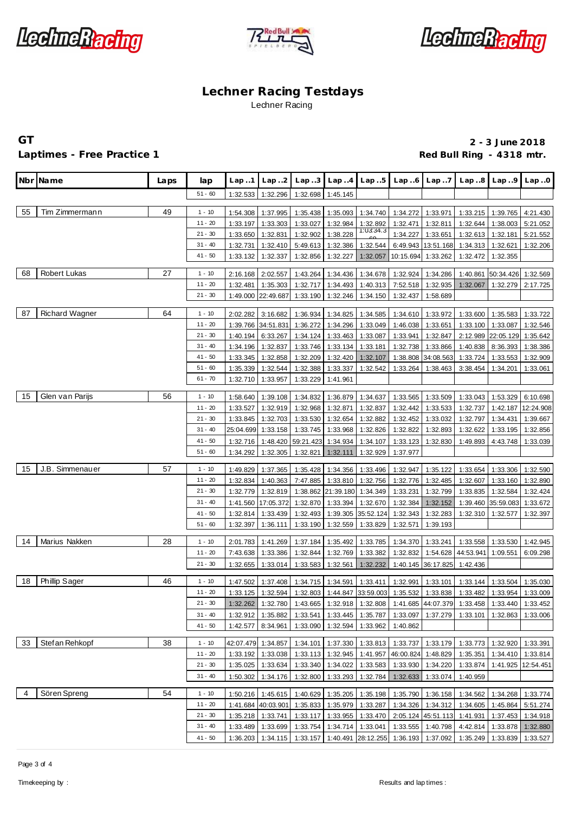





## Laptimes - Free Practice 1 **Red Bull Ring - 4318 mtr.** And Decision and Red Bull Ring - 4318 mtr.

**GT 2 - 3 June 2018**

|    | Nbr Name              | Laps | lap                   | Lap.1                | Lap.2                 | Lap.3                                         | Lap.4                | Lap.5                | Lap.6                | Lap.7                | Lap.8                                                                                      | Lap9              | Lap.0     |
|----|-----------------------|------|-----------------------|----------------------|-----------------------|-----------------------------------------------|----------------------|----------------------|----------------------|----------------------|--------------------------------------------------------------------------------------------|-------------------|-----------|
|    |                       |      | $51 - 60$             | 1:32.533             | 1:32.296              | 1:32.698                                      | 1:45.145             |                      |                      |                      |                                                                                            |                   |           |
| 55 | Tim Zimmermann        | 49   | $1 - 10$              | 1:54.308             | 1:37.995              | 1:35.438                                      | 1:35.093             | 1:34.740             | 1:34.272             | 1:33.971             | 1:33.215                                                                                   | 1:39.765          | 4:21.430  |
|    |                       |      | $11 - 20$             | 1:33.197             | 1:33.303              | 1:33.027                                      | 1:32.984             | 1:32.892             | 1:32.471             | 1:32.811             | 1:32.644                                                                                   | 1:38.003          | 5:21.052  |
|    |                       |      | $21 - 30$             | 1:33.650             | 1:32.831              | 1:32.902                                      | 1:38.228             | 1:03:34.3            | 1:34.227             | 1:33.651             | 1:32.613                                                                                   | 1:32.181          | 5:21.552  |
|    |                       |      | $31 - 40$             | 1:32.731             | 1:32.410              | 5:49.613                                      | 1:32.386             | 1:32.544             |                      | 6:49.943 13:51.168   | 1:34.313                                                                                   | 1:32.621          | 1:32.206  |
|    |                       |      | $41 - 50$             | 1:33.132             | 1:32.337              | 1:32.856                                      | 1:32.227             | 1:32.057             | 10:15.694            | 1:33.262             | 1:32.472                                                                                   | 1:32.355          |           |
|    |                       |      |                       |                      |                       |                                               |                      |                      |                      |                      |                                                                                            |                   |           |
| 68 | Robert Lukas          | 27   | $1 - 10$<br>$11 - 20$ | 2:16.168             | 2:02.557              | 1:43.264                                      | 1:34.436             | 1:34.678             | 1:32.924             | 1:34.286             | 1:40.861                                                                                   | 50:34.426         | 1:32.569  |
|    |                       |      | $21 - 30$             | 1:32.481<br>1:49.000 | 1:35.303<br>22:49.687 | 1:32.717<br>1:33.190                          | 1:34.493<br>1:32.246 | 1:40.313<br>1:34.150 | 7:52.518<br>1:32.437 | 1:32.935<br>1:58.689 | 1:32.067                                                                                   | 1:32.279          | 2:17.725  |
|    |                       |      |                       |                      |                       |                                               |                      |                      |                      |                      |                                                                                            |                   |           |
| 87 | <b>Richard Wagner</b> | 64   | $1 - 10$              | 2:02.282             | 3:16.682              | 1:36.934                                      | 1:34.825             | 1:34.585             | 1:34.610             | 1:33.972             | 1:33.600                                                                                   | 1:35.583          | 1:33.722  |
|    |                       |      | $11 - 20$             | 1:39.766             | 34:51.831             | 1:36.272                                      | 1:34.296             | 1:33.049             | 1:46.038             | 1:33.651             | 1:33.100                                                                                   | 1:33.087          | 1:32.546  |
|    |                       |      | $21 - 30$             | 1:40.194             | 6:33.267              | 1:34.124                                      | 1:33.463             | 1:33.087             | 1:33.941             | 1:32.847             | 2:12.989                                                                                   | 22:05.129         | 1:35.642  |
|    |                       |      | $31 - 40$             | 1:34.196             | 1:32.837              | 1:33.746                                      | 1:33.134             | 1:33.181             | 1:32.738             | 1:33.866             | 1:40.838                                                                                   | 8:36.393          | 1:38.386  |
|    |                       |      | $41 - 50$             | 1:33.345             | 1:32.858              | 1:32.209                                      | 1:32.420             | 1:32.107             | 1:38.808             | 34:08.563            | 1:33.724                                                                                   | 1:33.553          | 1:32.909  |
|    |                       |      | $51 - 60$             | 1:35.339             | 1:32.544              | 1:32.388                                      | 1:33.337             | 1:32.542             | 1:33.264             | 1:38.463             | 3:38.454                                                                                   | 1:34.201          | 1:33.061  |
|    |                       |      | $61 - 70$             | 1:32.710             | 1:33.957              | 1:33.229                                      | 1:41.961             |                      |                      |                      |                                                                                            |                   |           |
| 15 | Glen van Parijs       | 56   | $1 - 10$              | 1:58.640             | 1:39.108              | 1:34.832                                      | 1:36.879             | 1:34.637             | 1:33.565             | 1:33.509             | 1:33.043                                                                                   | 1:53.329          | 6:10.698  |
|    |                       |      | $11 - 20$             | 1:33.527             | 1:32.919              | 1:32.968                                      | 1:32.871             | 1:32.837             | 1:32.442             | 1:33.533             | 1:32.737                                                                                   | 1:42.187          | 12:24.908 |
|    |                       |      | $21 - 30$             | 1:33.845             | 1:32.703              | 1:33.530                                      | 1:32.654             | 1:32.882             | 1:32.452             | 1:33.032             | 1:32.797                                                                                   | 1:34.431          | 1:39.667  |
|    |                       |      | $31 - 40$             | 25:04.699            | 1:33.158              | 1:33.745                                      | 1:33.968             | 1:32.826             | 1:32.822             | 1:32.893             | 1:32.622                                                                                   | 1:33.195          | 1:32.856  |
|    |                       |      | $41 - 50$             | 1:32.716             | 1:48.420              | 59:21.423                                     | 1:34.934             | 1:34.107             | 1:33.123             | 1:32.830             | 1:49.893                                                                                   | 4:43.748          | 1:33.039  |
|    |                       |      | $51 - 60$             | 1:34.292             | 1:32.305              | 1:32.821                                      | 1:32.111             | 1:32.929             | 1:37.977             |                      |                                                                                            |                   |           |
| 15 | J.B. Simmenauer       | 57   | $1 - 10$              | 1:49.829             | 1:37.365              | 1:35.428                                      | 1:34.356             | 1:33.496             | 1:32.947             | 1:35.122             | 1:33.654                                                                                   | 1:33.306          | 1:32.590  |
|    |                       |      | $11 - 20$             | 1:32.834             | 1:40.363              | 7:47.885                                      | 1:33.810             | 1:32.756             | 1:32.776             | 1:32.485             | 1:32.607                                                                                   | 1:33.160          | 1:32.890  |
|    |                       |      | $21 - 30$             | 1:32.779             | 1:32.819              | 1:38.862                                      | 21:39.180            | 1:34.349             | 1:33.231             | 1:32.799             | 1:33.835                                                                                   | 1:32.584          | 1:32.424  |
|    |                       |      | $31 - 40$             | 1:41.560             | 17:05.372             | 1:32.870                                      | 1:33.394             | 1:32.670             | 1:32.384             | 1:32.152             | 1:39.460                                                                                   | 35:59.083         | 1:33.672  |
|    |                       |      | $41 - 50$             | 1:32.814             | 1:33.439              | 1:32.493                                      | 1:39.305             | 35:52.124            | 1:32.343             | 1:32.283             | 1:32.310                                                                                   | 1:32.577          | 1:32.397  |
|    |                       |      | $51 - 60$             | 1:32.397             | 1:36.111              | 1:33.190                                      | 1:32.559             | 1:33.829             | 1:32.571             | 1:39.193             |                                                                                            |                   |           |
| 14 | Marius Nakken         | 28   | $1 - 10$              | 2:01.783             | 1:41.269              | 1:37.184                                      | 1:35.492             | 1:33.785             | 1:34.370             | 1:33.241             | 1:33.558                                                                                   | 1:33.530          | 1:42.945  |
|    |                       |      | $11 - 20$             | 7:43.638             | 1:33.386              | 1:32.844                                      | 1:32.769             | 1:33.382             | 1:32.832             |                      | 1:54.628 44:53.941                                                                         | 1:09.551          | 6:09.298  |
|    |                       |      | $21 - 30$             | 1:32.655             | 1:33.014              | 1:33.583                                      | 1:32.561             | 1:32.232             |                      | 1:40.145 36:17.825   | 1:42.436                                                                                   |                   |           |
| 18 | <b>Phillip Sager</b>  | 46   | $1 - 10$              | 1:47.502             | 1:37.408              | 1:34.715 1:34.591                             |                      | 1:33.411             | 1:32.991             | 1:33.101             | 1:33.144                                                                                   | 1:33.504          | 1:35.030  |
|    |                       |      | $11 - 20$             | 1:33.125             | 1:32.594              |                                               |                      |                      |                      |                      | 1:32.803 1:44.847 33:59.003 1:35.532 1:33.838 1:33.482 1:33.954                            |                   | 1:33.009  |
|    |                       |      | $21 - 30$             |                      |                       |                                               |                      |                      |                      |                      | 1:32.262 1:32.780 1:43.665 1:32.918 1:32.808 1:41.685 44:07.379 1:33.458 1:33.440 1:33.452 |                   |           |
|    |                       |      | $31 - 40$             | 1:32.912             | 1:35.882              | 1:33.541                                      | 1:33.445             | 1:35.787             | 1:33.097             | 1:37.279             | 1:33.101                                                                                   | 1:32.863          | 1:33.006  |
|    |                       |      | $41 - 50$             | 1:42.577             | 8:34.961              | 1:33.090                                      | 1:32.594             | 1:33.962             | 1:40.862             |                      |                                                                                            |                   |           |
|    |                       |      |                       |                      |                       |                                               |                      |                      |                      |                      |                                                                                            |                   |           |
| 33 | Stefan Rehkopf        | 38   | $1 - 10$              | 42:07.479 1:34.857   |                       | 1:34.101                                      | 1:37.330             | 1:33.813             | 1:33.737             | 1:33.179             | 1:33.773                                                                                   | 1:32.920          | 1:33.391  |
|    |                       |      | $11 - 20$             | 1:33.192             | 1:33.038              | 1:33.113                                      | 1:32.945             | 1:41.957             | 46:00.824            | 1:48.829             | 1:35.351                                                                                   | 1:34.410          | 1:33.814  |
|    |                       |      | $21 - 30$             | 1:35.025             | 1:33.634              | 1:33.340                                      | 1:34.022             | 1:33.583             | 1:33.930             | 1:34.220             | 1:33.874                                                                                   | 1:41.925          | 12:54.451 |
|    |                       |      | $31 - 40$             | 1:50.302             | 1:34.176              | 1:32.800                                      | 1:33.293             | 1:32.784             | 1:32.633             | 1:33.074             | 1:40.959                                                                                   |                   |           |
| 4  | Sören Spreng          | 54   | $1 - 10$              | 1:50.216             | 1:45.615              | 1:40.629                                      | 1:35.205             | 1:35.198             | 1:35.790             | 1:36.158             | 1:34.562                                                                                   | 1:34.268          | 1:33.774  |
|    |                       |      | $11 - 20$             |                      | 1:41.684 40:03.901    | 1:35.833                                      | 1:35.979             | 1:33.287             | 1:34.326             | 1:34.312             | 1:34.605                                                                                   | 1:45.864          | 5:51.274  |
|    |                       |      | $21 - 30$             | 1:35.218             | 1:33.741              | 1:33.117                                      | 1:33.955             | 1:33.470             |                      | 2:05.124 45:51.113   | 1:41.931                                                                                   | 1:37.453          | 1:34.918  |
|    |                       |      | $31 - 40$             | 1:33.489             | 1:33.699              | 1:33.754                                      |                      | 1:34.714 1:33.041    | 1:33.555             | 1:40.798             | 4:42.814                                                                                   | 1:33.878          | 1:32.880  |
|    |                       |      | $41 - 50$             |                      | 1:36.203 1:34.115     | 1:33.157 1:40.491 28:12.255 1:36.193 1:37.092 |                      |                      |                      |                      |                                                                                            | 1:35.249 1:33.839 | 1:33.527  |